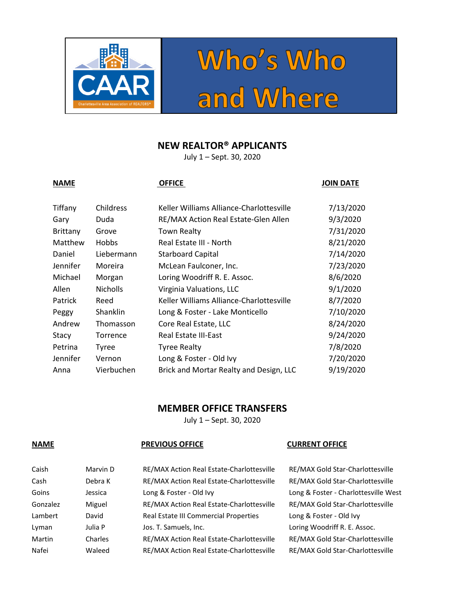



## **NEW REALTOR® APPLICANTS**

July 1 – Sept. 30, 2020

### **NAME OFFICE OFFICE OFFICE OFFICE JOIN DATE**

# Tiffany Childress Keller Williams Alliance-Charlottesville 7/13/2020 Gary Duda RE/MAX Action Real Estate-Glen Allen 9/3/2020 Brittany Grove Town Realty **The Community Community** 7/31/2020 Matthew Hobbs Real Estate III - North 8/21/2020 Daniel Liebermann Starboard Capital 7/14/2020 Jennifer Moreira McLean Faulconer, Inc. 7/23/2020 Michael Morgan Loring Woodriff R. E. Assoc. 8/6/2020 Allen Nicholls Virginia Valuations, LLC 9/1/2020 Patrick Reed Keller Williams Alliance-Charlottesville 8/7/2020 Peggy Shanklin Long & Foster - Lake Monticello 7/10/2020 Andrew Thomasson Core Real Estate, LLC 68/24/2020 Stacy Torrence Real Estate III-East 19/24/2020 Petrina Tyree Tyree Realty 7/8/2020 Jennifer Vernon Long & Foster - Old Ivy 7/20/2020 Anna Vierbuchen Brick and Mortar Realty and Design, LLC 9/19/2020

## **MEMBER OFFICE TRANSFERS**

July 1 – Sept. 30, 2020

### **NAME PREVIOUS OFFICE CURRENT OFFICE**

| Caish    | Marvin D | RE/MAX Action Real Estate-Charlottesville | RE/MAX Gold Star-Charlottesville     |
|----------|----------|-------------------------------------------|--------------------------------------|
| Cash     | Debra K  | RE/MAX Action Real Estate-Charlottesville | RE/MAX Gold Star-Charlottesville     |
| Goins    | Jessica  | Long & Foster - Old Ivy                   | Long & Foster - Charlottesville West |
| Gonzalez | Miguel   | RE/MAX Action Real Estate-Charlottesville | RE/MAX Gold Star-Charlottesville     |
| Lambert  | David    | Real Estate III Commercial Properties     | Long & Foster - Old Ivy              |
| Lyman    | Julia P  | Jos. T. Samuels, Inc.                     | Loring Woodriff R. E. Assoc.         |
| Martin   | Charles  | RE/MAX Action Real Estate-Charlottesville | RE/MAX Gold Star-Charlottesville     |
| Nafei    | Waleed   | RE/MAX Action Real Estate-Charlottesville | RE/MAX Gold Star-Charlottesville     |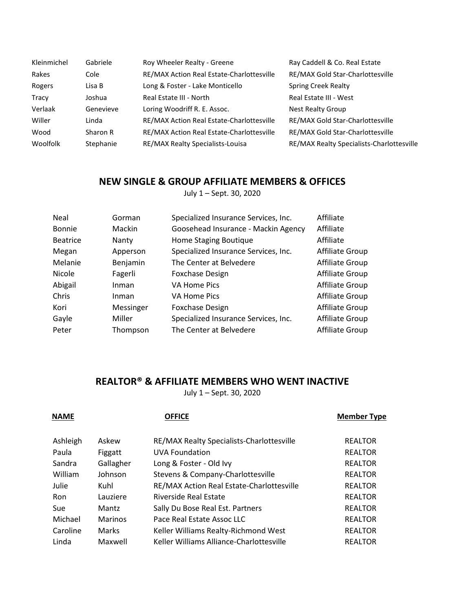| Kleinmichel | Gabriele  | Roy Wheeler Realty - Greene               | Ray Caddell & Co. Real Estate             |
|-------------|-----------|-------------------------------------------|-------------------------------------------|
| Rakes       | Cole      | RE/MAX Action Real Estate-Charlottesville | RE/MAX Gold Star-Charlottesville          |
| Rogers      | Lisa B    | Long & Foster - Lake Monticello           | <b>Spring Creek Realty</b>                |
| Tracy       | Joshua    | Real Estate III - North                   | Real Estate III - West                    |
| Verlaak     | Genevieve | Loring Woodriff R. E. Assoc.              | <b>Nest Realty Group</b>                  |
| Willer      | Linda     | RE/MAX Action Real Estate-Charlottesville | RE/MAX Gold Star-Charlottesville          |
| Wood        | Sharon R  | RE/MAX Action Real Estate-Charlottesville | RE/MAX Gold Star-Charlottesville          |
| Woolfolk    | Stephanie | RE/MAX Realty Specialists-Louisa          | RE/MAX Realty Specialists-Charlottesville |

## **NEW SINGLE & GROUP AFFILIATE MEMBERS & OFFICES**

July 1 – Sept. 30, 2020

| Neal            | Gorman    | Specialized Insurance Services, Inc. | Affiliate       |
|-----------------|-----------|--------------------------------------|-----------------|
| Bonnie          | Mackin    | Goosehead Insurance - Mackin Agency  | Affiliate       |
| <b>Beatrice</b> | Nanty     | Home Staging Boutique                | Affiliate       |
| Megan           | Apperson  | Specialized Insurance Services, Inc. | Affiliate Group |
| Melanie         | Benjamin  | The Center at Belvedere              | Affiliate Group |
| Nicole          | Fagerli   | <b>Foxchase Design</b>               | Affiliate Group |
| Abigail         | Inman     | VA Home Pics                         | Affiliate Group |
| Chris           | Inman     | <b>VA Home Pics</b>                  | Affiliate Group |
| Kori            | Messinger | <b>Foxchase Design</b>               | Affiliate Group |
| Gayle           | Miller    | Specialized Insurance Services, Inc. | Affiliate Group |
| Peter           | Thompson  | The Center at Belvedere              | Affiliate Group |
|                 |           |                                      |                 |

## **REALTOR® & AFFILIATE MEMBERS WHO WENT INACTIVE**

July 1 – Sept. 30, 2020

| <b>NAME</b> |                | <b>OFFICE</b>                             | <b>Member Type</b> |
|-------------|----------------|-------------------------------------------|--------------------|
| Ashleigh    | Askew          | RE/MAX Realty Specialists-Charlottesville | <b>REALTOR</b>     |
| Paula       | Figgatt        | <b>UVA Foundation</b>                     | <b>REALTOR</b>     |
| Sandra      | Gallagher      | Long & Foster - Old Ivy                   | <b>REALTOR</b>     |
| William     | Johnson        | Stevens & Company-Charlottesville         | <b>REALTOR</b>     |
| Julie       | Kuhl           | RE/MAX Action Real Estate-Charlottesville | <b>REALTOR</b>     |
| Ron         | Lauziere       | <b>Riverside Real Estate</b>              | <b>REALTOR</b>     |
| <b>Sue</b>  | Mantz          | Sally Du Bose Real Est. Partners          | <b>REALTOR</b>     |
| Michael     | <b>Marinos</b> | Pace Real Estate Assoc LLC                | <b>REALTOR</b>     |
| Caroline    | <b>Marks</b>   | Keller Williams Realty-Richmond West      | <b>REALTOR</b>     |
| Linda       | Maxwell        | Keller Williams Alliance-Charlottesville  | <b>REALTOR</b>     |
|             |                |                                           |                    |